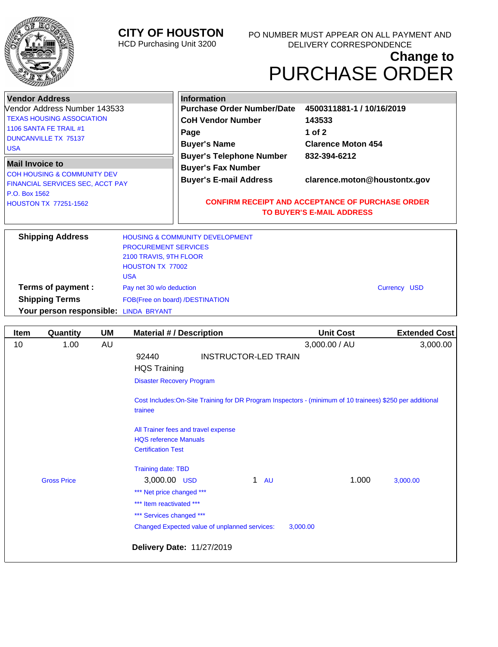

## **CITY OF HOUSTON**

HCD Purchasing Unit 3200

# **Change to** PURCHASE ORDER

| <b>Vendor Address</b>                  |                             | <b>Information</b>                                      |                                  |                      |
|----------------------------------------|-----------------------------|---------------------------------------------------------|----------------------------------|----------------------|
| Vendor Address Number 143533           |                             | <b>Purchase Order Number/Date</b>                       | 4500311881-1 / 10/16/2019        |                      |
| <b>TEXAS HOUSING ASSOCIATION</b>       |                             | <b>CoH Vendor Number</b>                                | 143533                           |                      |
| 1106 SANTA FE TRAIL #1                 |                             | Page                                                    | 1 of $2$                         |                      |
| <b>DUNCANVILLE TX 75137</b>            |                             | <b>Buyer's Name</b>                                     | <b>Clarence Moton 454</b>        |                      |
| <b>USA</b>                             |                             | <b>Buyer's Telephone Number</b>                         | 832-394-6212                     |                      |
| <b>Mail Invoice to</b>                 |                             |                                                         |                                  |                      |
| <b>COH HOUSING &amp; COMMUNITY DEV</b> |                             | <b>Buyer's Fax Number</b>                               |                                  |                      |
| FINANCIAL SERVICES SEC, ACCT PAY       |                             | <b>Buyer's E-mail Address</b>                           | clarence.moton@houstontx.gov     |                      |
| P.O. Box 1562                          |                             |                                                         |                                  |                      |
| <b>HOUSTON TX 77251-1562</b>           |                             | <b>CONFIRM RECEIPT AND ACCEPTANCE OF PURCHASE ORDER</b> |                                  |                      |
|                                        |                             |                                                         | <b>TO BUYER'S E-MAIL ADDRESS</b> |                      |
|                                        |                             |                                                         |                                  |                      |
| <b>Shipping Address</b>                |                             | <b>HOUSING &amp; COMMUNITY DEVELOPMENT</b>              |                                  |                      |
|                                        | <b>PROCUREMENT SERVICES</b> |                                                         |                                  |                      |
|                                        | 2100 TRAVIS, 9TH FLOOR      |                                                         |                                  |                      |
|                                        | <b>HOUSTON TX 77002</b>     |                                                         |                                  |                      |
|                                        | <b>USA</b>                  |                                                         |                                  |                      |
| Terms of payment :                     | Pay net 30 w/o deduction    |                                                         |                                  | <b>Currency USD</b>  |
| <b>Shipping Terms</b>                  |                             | FOB(Free on board) /DESTINATION                         |                                  |                      |
| Your person responsible: LINDA BRYANT  |                             |                                                         |                                  |                      |
|                                        |                             |                                                         |                                  |                      |
| Quantity<br><b>Item</b>                | <b>UM</b>                   | <b>Material #/ Description</b>                          | <b>Unit Cost</b>                 | <b>Extended Cost</b> |
|                                        |                             |                                                         |                                  |                      |

| יייסיי | wuanniy            | ייי | MQ                                  |                                                                                                           | ບກາເ ບບວເ     | LAIGHUGU VUJI |
|--------|--------------------|-----|-------------------------------------|-----------------------------------------------------------------------------------------------------------|---------------|---------------|
| 10     | 1.00               | AU  |                                     |                                                                                                           | 3,000.00 / AU | 3,000.00      |
|        |                    |     | 92440                               | <b>INSTRUCTOR-LED TRAIN</b>                                                                               |               |               |
|        |                    |     | <b>HQS Training</b>                 |                                                                                                           |               |               |
|        |                    |     | <b>Disaster Recovery Program</b>    |                                                                                                           |               |               |
|        |                    |     | trainee                             | Cost Includes: On-Site Training for DR Program Inspectors - (minimum of 10 trainees) \$250 per additional |               |               |
|        |                    |     | All Trainer fees and travel expense |                                                                                                           |               |               |
|        |                    |     | <b>HQS</b> reference Manuals        |                                                                                                           |               |               |
|        |                    |     | <b>Certification Test</b>           |                                                                                                           |               |               |
|        |                    |     | <b>Training date: TBD</b>           |                                                                                                           |               |               |
|        | <b>Gross Price</b> |     | 3,000.00 USD                        | $\mathbf 1$<br><b>AU</b>                                                                                  | 1.000         | 3,000.00      |
|        |                    |     | *** Net price changed ***           |                                                                                                           |               |               |
|        |                    |     | *** Item reactivated ***            |                                                                                                           |               |               |
|        |                    |     | *** Services changed ***            |                                                                                                           |               |               |
|        |                    |     |                                     | Changed Expected value of unplanned services:                                                             | 3,000.00      |               |
|        |                    |     | <b>Delivery Date: 11/27/2019</b>    |                                                                                                           |               |               |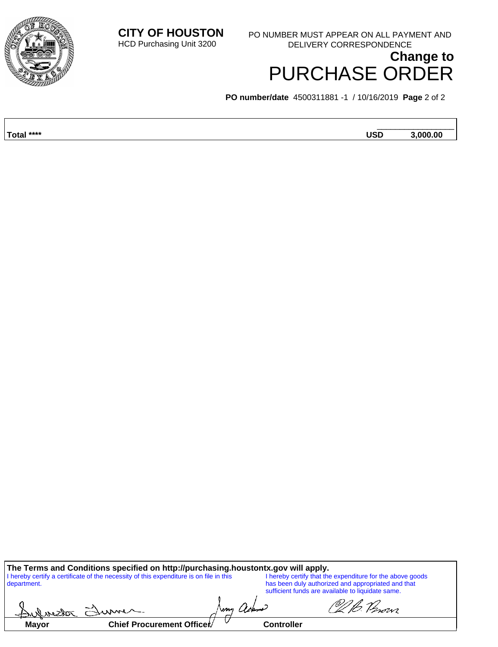**CITY OF HOUSTON** HCD Purchasing Unit 3200 PO NUMBER MUST APPEAR ON ALL PAYMENT AND



**Change to** PURCHASE ORDER DELIVERY CORRESPONDENCE

**PO number/date** 4500311881 -1 / 10/16/2019 **Page** 2 of 2

| Total ****<br><b>USD</b> |                     |
|--------------------------|---------------------|
|                          | $.5000 \, \text{m}$ |

**The Terms and Conditions specified on http://purchasing.houstontx.gov will apply.** I hereby certify a certificate of the necessity of this expenditure is on file in this department. I hereby certify that the expenditure for the above goods has been duly authorized and appropriated and that sufficient funds are available to liquidate same.

| Andreaster   | $\approx$                 | wm | ackerne    | 'movi |
|--------------|---------------------------|----|------------|-------|
| <b>Mayor</b> | Chief Procurement Officer |    | Controller |       |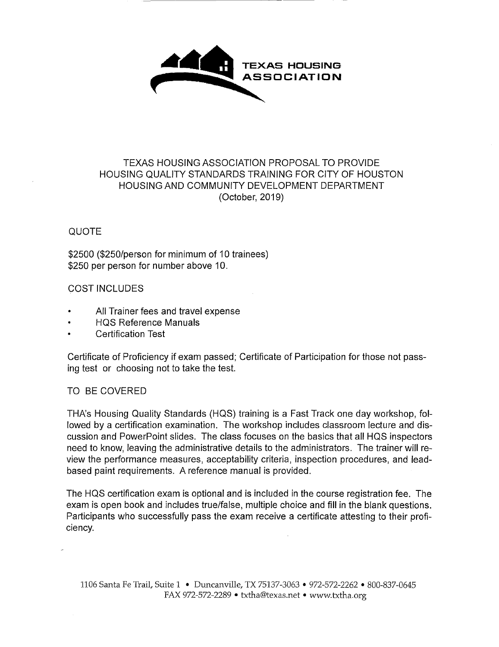

### TEXAS HOUSING ASSOCIATION PROPOSAL TO PROVIDE HOUSING QUALITY STANDARDS TRAINING FOR CITY OF HOUSTON HOUSING AND COMMUNITY DEVELOPMENT DEPARTMENT (October, 2019)

#### QUOTE

\$2500 (\$250/person for minimum of 10 trainees) \$250 per person for number above 10.

#### COST INCLUDES

- All Trainer fees and travel expense
- HQS Reference Manuals
- Certification Test

Certificate of Proficiency if exam passed; Certificate of Participation for those not passing test or choosing not to take the test.

#### TO BE COVERED

THA's Housing Quality Standards (HQS) training is a Fast Track one day workshop, followed by a certification examination. The workshop includes classroom lecture and discussion and PowerPoint slides. The class focuses on the basics that all HQS inspectors need to know, leaving the administrative details to the administrators. The trainer will review the performance measures, acceptability criteria, inspection procedures, and leadbased paint requirements. A reference manual is provided.

The HQS certification exam is optional and is included in the course registration fee. The exam is open book and includes true/false, multiple choice and fill in the blank questions. Participants who successfully pass the exam receive a certificate attesting to their proficiency.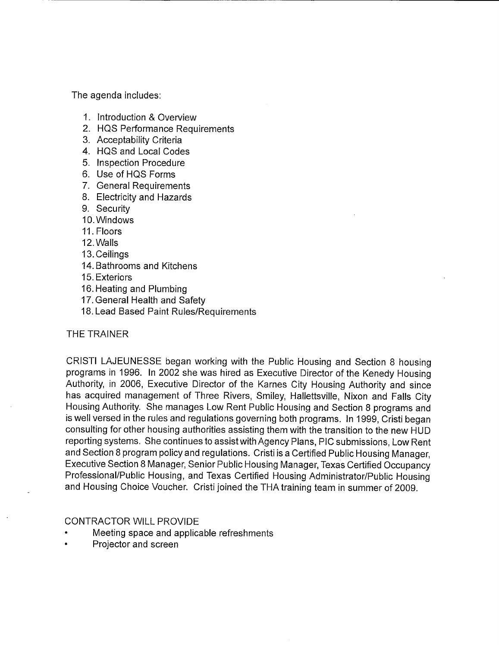The agenda includes:

- 1. Introduction & Overview
- 2. HQS Performance Requirements
- 3. Acceptability Criteria
- 4. HQS and Local Codes
- 5. Inspection Procedure
- 6. Use of HQS Forms
- 7. General Requirements
- 8. Electricity and Hazards
- 9. Security
- 10. Windows
- II. Floors
- 12.Walls
- 13. Ceilings
- 14. Bathrooms and Kitchens
- 15. Exteriors
- 16. Heating and Plumbing
- 17. General Health and Safety
- 18. Lead Based Paint Rules/Requirements

#### THE TRAINER

CRISTI LAJEUNESSE began working with the Public Housing and Section 8 housing programs in 1996. In 2002 she was hired as Executive Director of the Kenedy Housing Authority, in 2006, Executive Director of the Karnes City Housing Authority and since has acquired management of Three Rivers, Smiley, Hallettsville, Nixon and Falls City Housing Authority. She manages Low Rent Public Housing and Section 8 programs and is well versed in the rules and regulations governing both programs. In 1999, Cristi began consulting for other housing authorities assisting them with the transition to the new HUD reporting systems. She continues to assist with Agency Plans, PlC submissions, Low Rent and Section 8 program policy and regulations. Cristi is a Certified Public Housing Manager, Executive Section 8 Manager, Senior Public Housing Manager, Texas Certified Occupancy Professional/Public Housing, and Texas Certified Housing Administrator/Public Housing and Housing Choice Voucher. Cristi joined the THA training team in summer of 2009.

CONTRACTOR WILL PROVIDE

- Meeting space and applicable refreshments
- Projector and screen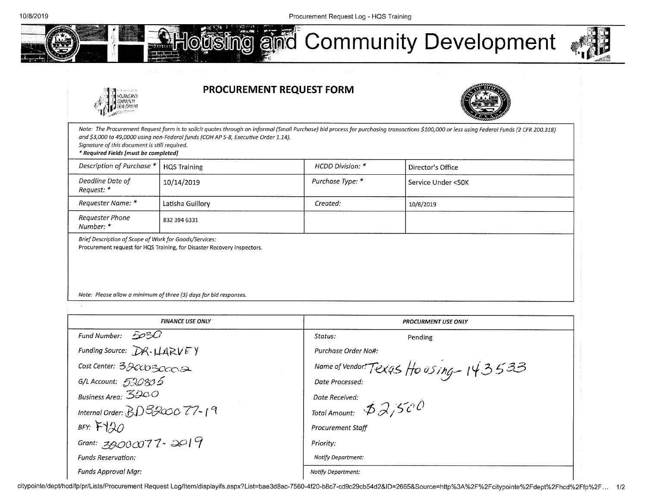liPMIl

0586450 WWNTY







Note: The Procurement Request form is to solicit quotes through on informal (Small Purchase) bid process for purchasing transactions \$100,000 or less using Federal Funds (2 CFR 200.318) and \$3,000 to 49,0000 using non-Federal funds (COH AP 5-8, Executive Order 1.14). Signature of this document is still required. \* Required Fields (must be completed) Description of Purchase \* | HQS Training November 1986 | HCDD Division: \* | Director's Office Deadline Date of Request: \* 10/14/2019 **Purchase Type: \*** Service Under <50K Requester Name: \* Latisha Guillory Created: (10/8/2019) Requester Phone Number: \* 832 394 6331 Brief Description of Scope of Work for Goods/Services: Procurement request for HOS Training, for Disaster Recovery Inspectors. Note: Please allow a minimum of three (3) days for bid responses.

| <b>FINANCE USE ONLY</b>          | <b>PROCURMENT USE ONLY</b>                           |
|----------------------------------|------------------------------------------------------|
| -5030<br>Fund Number:            | Status:<br>Pending                                   |
| Funding Source: $DR$ - $HARYFY$  | Purchase Order No#:                                  |
| Cost Center: 320030002           | Name of Vendor. Texas Ho using $-143533$             |
| G/L Account: $520835$            | Date Processed:                                      |
| Business Area: $3200$            | Date Received:                                       |
| Internal Order: $BD3200077 - 19$ | Total Amount: $\mathcal{BQ}_{i}$ , $\mathcal{C}^{i}$ |
| BFY: $F120$                      | <b>Procurement Staff</b>                             |
| Grant: $3000077 - 2019$          | Priority:                                            |
| <b>Funds Reservation:</b>        | <b>Notify Department:</b>                            |
| Funds Approval Mar:              | <b>Notify Department:</b>                            |

citypointe/dept/hcd/fp/pr/Lists/Procurement Request Log/Item/displayifs.aspx?List=bae3d8ac-7560-4f20-b8c7-cd9c29cb54d2&ID=2665&Source=http%3A%2F%2Fcitypointe%2Fdept%2Fhcd%2Ffp%2F... 1/2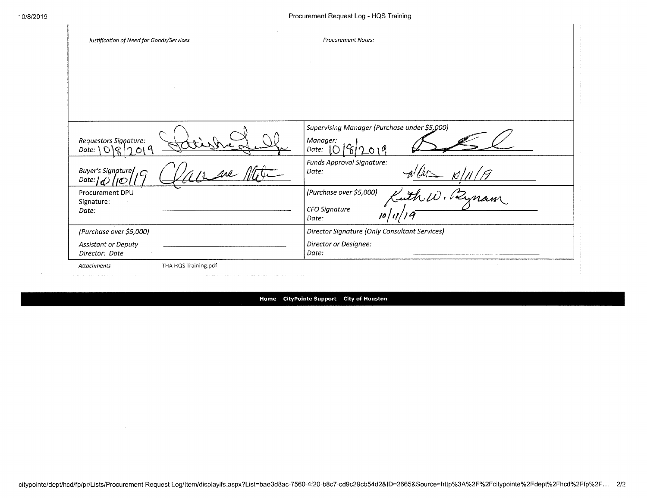| Justification of Need for Goods/Services                              |                      | <b>Procurement Notes:</b>                     |
|-----------------------------------------------------------------------|----------------------|-----------------------------------------------|
|                                                                       |                      |                                               |
|                                                                       |                      |                                               |
|                                                                       |                      |                                               |
|                                                                       |                      | Supervising Manager (Purchase under \$5,000)  |
| Requestors Signature:<br>Date: $\bigcirc$ $\bigcirc$ $\bigcirc$<br>D) |                      | Manager:<br>Date:<br>U                        |
| Buyer's Signature<br>Date: I<br>כאו                                   |                      | Funds Approval Signature:<br>Date:            |
| Procurement DPU<br>Signature:                                         |                      | (Purchase over \$5,000)<br>mam                |
| Date:                                                                 |                      | CFO Signature<br>Date:                        |
| (Purchase over \$5,000)                                               |                      | Director Signature (Only Consultant Services) |
| Assistant or Deputy<br>Director: Date                                 |                      | Director or Designee:<br>Date:                |
| Attachments                                                           | THA HQS Training.pdf |                                               |

**Home CityPointe Support City of Houston**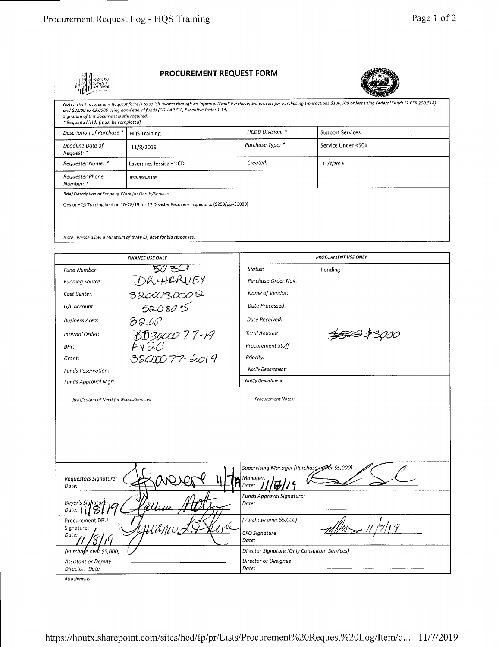

#### **PROCUREMENT REQUEST FORM**



*Note: The Procurement Request form is to solicit quotes through on iriforrnol (5rnoll Purchase) bid process for purchasing tronsoctions \$100000 or less using Federal Funds (2 CFR 200318) ond \$3,000 to 49,0000 using oon-Federolfunds (COH AP 5-8, Executive Order 1.14). Signature of this document is st/I required. Reqsired Fields [most be corn pletedj Description of Purchase* <sup>C</sup>*HQS Training HCDD Division: \* Support Services Deadline Dote of*  11/8/2019 *Purchase Type:*  $*$  Service Under <50K *Request: \* Requester Name:* \* Lavergne, Jessica - HCD *Created: Created:* 11/7/2019 *Requester Phone B32-394-6195 Number: \* Brief Description of scope of Work for Goods/services: Onsile HOS Training held on 10/25/19 for 12 Disaslet Recooery Isspeclors. (\$250/pp\$3000) Note: Please allow a minimum of three (3) days for bid responses.* **FINANCE USE ONLY** *PROCURMENT USE ONLY Fund Number: •5C ?\_- Status: Pending Funding Source:* **i***DR + HARUEY Purchase Drder Na#:*  Cost Center: 32COO3000<sup>Q</sup> *Name of Vendor: G/L Account:* 520 80 5 *Dote Processed: Business Area: , Date Received: Internal Order:*<br>*BFY*: **362 26**<br>*BFY*: EV 26 \$500 \$3000 *Total Amount: BFY: Procurement Staff Grant:* **22000** 77-2019 *Priority: Not,fy Deportment: Funds Reservation: Not,fy Department: Funds Approval Mgr: Justification of Need for Goods/Services Procurement Notes: Supervising Manager (Purch* 

*Requestors Signature: )'j Mona ger:*  Date: *Date:* **if if**  $\frac{1}{2}$  **if**  $\frac{1}{2}$  **if**  $\frac{1}{2}$  **if**  $\frac{1}{2}$  **if**  $\frac{1}{2}$  **if**  $\frac{1}{2}$  **if**  $\frac{1}{2}$  **if**  $\frac{1}{2}$  **if**  $\frac{1}{2}$  **if**  $\frac{1}{2}$  **if**  $\frac{1}{2}$  **if**  $\frac{1}{2}$  **if**  $\frac{1}{2}$  **if**  $\frac$ Buyer's Signature: 19 April 2011 *Funds Approval Signature: Dote: Dote:*   $P_{\text{Procurrent DPU}}$   $P_{\text{P}}$  $Signature:$ *(Purchase over \$5,000)*  lar 11/7/19 *Dote:*  <u>יי</u> *(Purchafe ovi\$5,000) CFD Signature Date: Assistant or Deputy Director Signature (Dnly Consultant Services) Director or Designee: Director: Date*  $\vert$  *Date:*  $\vert$  *Date:*  $\vert$  *Date:*  $\vert$  *Date:*  $\vert$  *Date:*  $\vert$  *Date:*  $\vert$  *Date:*  $\vert$  *Date:*  $\vert$  *Date:*  $\vert$  *Date:*  $\vert$  *Date:*  $\vert$  *Date:*  $\vert$  *Date:*  $\vert$  *Date:*  $\vert$  *Date:*  $\vert$  *Date* 

*,4ttochrnents*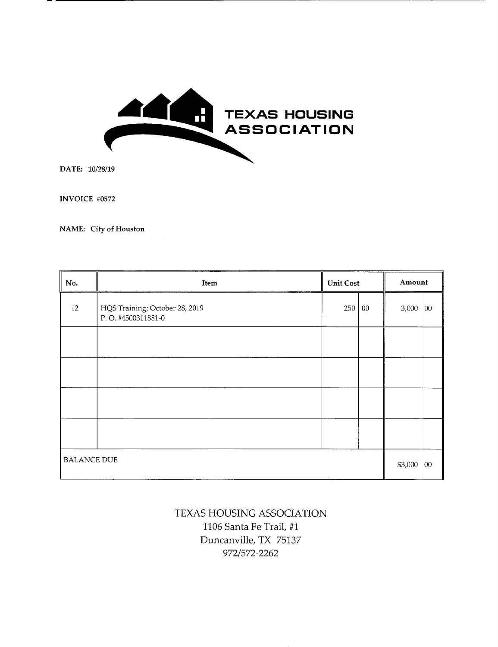

DATE: 10/28/19

INVOICE #0572

NAME: City **of Houston** 

| No.                | <b>Unit Cost</b><br>Item                             |     |         | Amount |        |
|--------------------|------------------------------------------------------|-----|---------|--------|--------|
| 12                 | HQS Training; October 28, 2019<br>P.O. #4500311881-0 | 250 | $00\,$  | 3,000  | $00\,$ |
|                    |                                                      |     |         |        |        |
|                    |                                                      |     |         |        |        |
|                    |                                                      |     |         |        |        |
|                    |                                                      |     |         |        |        |
| <b>BALANCE DUE</b> |                                                      |     | \$3,000 | $00\,$ |        |

## TEXAS HOUSING ASSOCIATION 1106 Santa Fe Trail, #1 Duncanville, TX 75137 972/572-2262